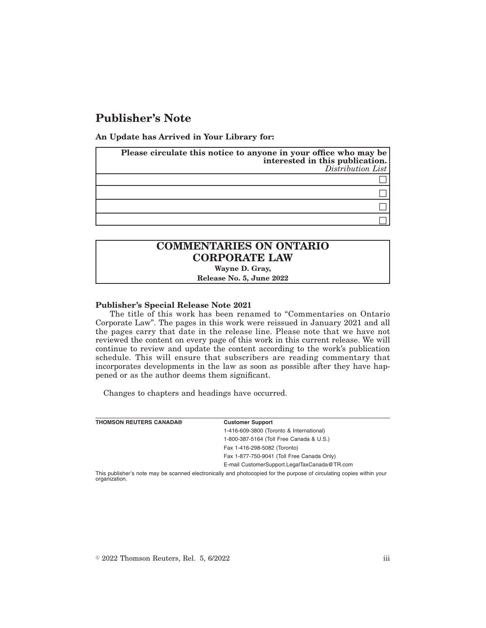## **Publisher's Note**

**An Update has Arrived in Your Library for:**

| Please circulate this notice to anyone in your office who may be<br>interested in this publication.<br>$Distribution\;List$ |
|-----------------------------------------------------------------------------------------------------------------------------|
|                                                                                                                             |
|                                                                                                                             |
|                                                                                                                             |
|                                                                                                                             |

# **COMMENTARIES ON ONTARIO CORPORATE LAW**

**Wayne D. Gray,**

**Release No. 5, June 2022**

### **Publisher's Special Release Note 2021**

The title of this work has been renamed to "Commentaries on Ontario Corporate Law". The pages in this work were reissued in January 2021 and all the pages carry that date in the release line. Please note that we have not reviewed the content on every page of this work in this current release. We will continue to review and update the content according to the work's publication schedule. This will ensure that subscribers are reading commentary that incorporates developments in the law as soon as possible after they have happened or as the author deems them significant.

Changes to chapters and headings have occurred.

| <b>THOMSON REUTERS CANADA®</b> | <b>Customer Support</b>                                                                                               |
|--------------------------------|-----------------------------------------------------------------------------------------------------------------------|
|                                | 1-416-609-3800 (Toronto & International)                                                                              |
|                                | 1-800-387-5164 (Toll Free Canada & U.S.)                                                                              |
|                                | Fax 1-416-298-5082 (Toronto)                                                                                          |
|                                | Fax 1-877-750-9041 (Toll Free Canada Only)                                                                            |
|                                | E-mail CustomerSupport.LegalTaxCanada@TR.com                                                                          |
|                                | This publisher's note may be scanned electronically and photoconicd for the purpose of circulating copies within vour |

s note may be scanned electronically and photocopied for the purpose of circulating copies within your organization.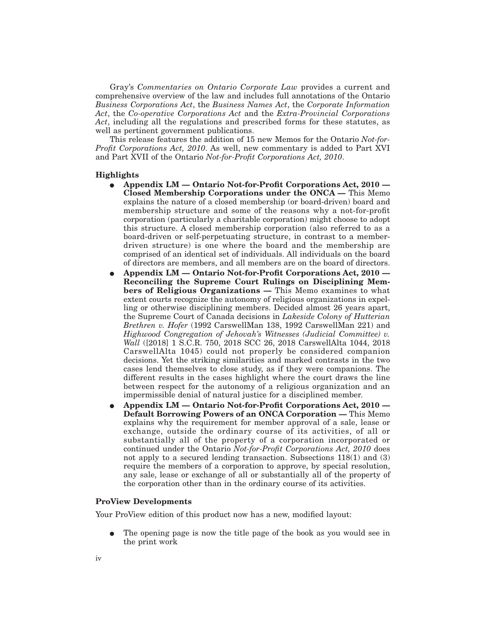Gray's *Commentaries on Ontario Corporate Law* provides a current and comprehensive overview of the law and includes full annotations of the Ontario *Business Corporations Act*, the *Business Names Act*, the *Corporate Information Act*, the *Co-operative Corporations Act* and the *Extra-Provincial Corporations Act*, including all the regulations and prescribed forms for these statutes, as well as pertinent government publications.

This release features the addition of 15 new Memos for the Ontario *Not-for-Profit Corporations Act, 2010*. As well, new commentary is added to Part XVI and Part XVII of the Ontario *Not-for-Profit Corporations Act, 2010*.

#### **Highlights**

- E **Appendix LM Ontario Not-for-Profit Corporations Act, 2010 — Closed Membership Corporations under the ONCA —** This Memo explains the nature of a closed membership (or board-driven) board and membership structure and some of the reasons why a not-for-profit corporation (particularly a charitable corporation) might choose to adopt this structure. A closed membership corporation (also referred to as a board-driven or self-perpetuating structure, in contrast to a memberdriven structure) is one where the board and the membership are comprised of an identical set of individuals. All individuals on the board of directors are members, and all members are on the board of directors.
- E **Appendix LM Ontario Not-for-Profit Corporations Act, 2010 — Reconciling the Supreme Court Rulings on Disciplining Members of Religious Organizations —** This Memo examines to what extent courts recognize the autonomy of religious organizations in expelling or otherwise disciplining members. Decided almost 26 years apart, the Supreme Court of Canada decisions in *Lakeside Colony of Hutterian Brethren v. Hofer* (1992 CarswellMan 138, 1992 CarswellMan 221) and *Highwood Congregation of Jehovah's Witnesses (Judicial Committee) v. Wall* ([2018] 1 S.C.R. 750, 2018 SCC 26, 2018 CarswellAlta 1044, 2018 CarswellAlta 1045) could not properly be considered companion decisions. Yet the striking similarities and marked contrasts in the two cases lend themselves to close study, as if they were companions. The different results in the cases highlight where the court draws the line between respect for the autonomy of a religious organization and an impermissible denial of natural justice for a disciplined member.
- E **Appendix LM Ontario Not-for-Profit Corporations Act, 2010 — Default Borrowing Powers of an ONCA Corporation —** This Memo explains why the requirement for member approval of a sale, lease or exchange, outside the ordinary course of its activities, of all or substantially all of the property of a corporation incorporated or continued under the Ontario *Not-for-Profit Corporations Act, 2010* does not apply to a secured lending transaction. Subsections 118(1) and (3) require the members of a corporation to approve, by special resolution, any sale, lease or exchange of all or substantially all of the property of the corporation other than in the ordinary course of its activities.

### **ProView Developments**

Your ProView edition of this product now has a new, modified layout:

E The opening page is now the title page of the book as you would see in the print work